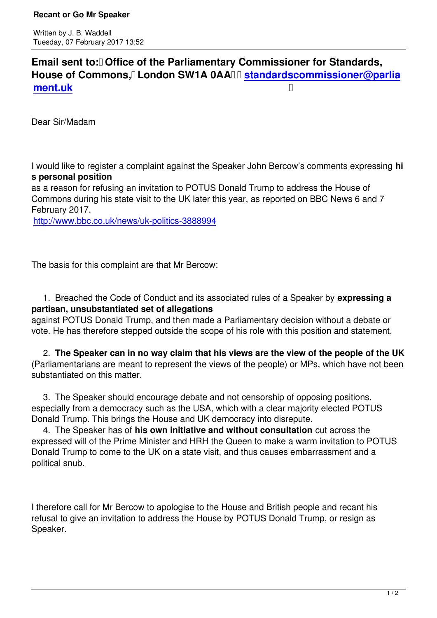Email sent to: **Office of the Parliamentary Commissioner for Standards**, House of Commons, London SW1A 0AA II standardscommissioner@parlia **ment.uk** 

[Dear Sir/M](mailto:standardscommissioner@parliament.uk)adam

I would like to register a complaint against the Speaker John Bercow's comments expressing **hi s personal position**

as a reason for refusing an invitation to POTUS Donald Trump to address the House of Commons during his state visit to the UK later this year, as reported on BBC News 6 and 7 February 2017.

http://www.bbc.co.uk/news/uk-politics-3888994

[The basis for this complaint are that Mr Bercow:](http://www.bbc.co.uk/news/uk-politics-3888994)

 1. Breached the Code of Conduct and its associated rules of a Speaker by **expressing a partisan, unsubstantiated set of allegations**

against POTUS Donald Trump, and then made a Parliamentary decision without a debate or vote. He has therefore stepped outside the scope of his role with this position and statement.

 2. **The Speaker can in no way claim that his views are the view of the people of the UK** (Parliamentarians are meant to represent the views of the people) or MPs, which have not been substantiated on this matter.

 3. The Speaker should encourage debate and not censorship of opposing positions, especially from a democracy such as the USA, which with a clear majority elected POTUS Donald Trump. This brings the House and UK democracy into disrepute.

 4. The Speaker has of **his own initiative and without consultation** cut across the expressed will of the Prime Minister and HRH the Queen to make a warm invitation to POTUS Donald Trump to come to the UK on a state visit, and thus causes embarrassment and a political snub.

I therefore call for Mr Bercow to apologise to the House and British people and recant his refusal to give an invitation to address the House by POTUS Donald Trump, or resign as Speaker.